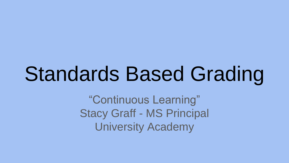## Standards Based Grading

"Continuous Learning" Stacy Graff - MS Principal University Academy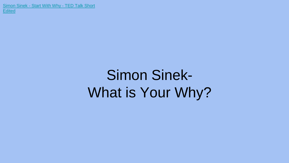[Simon Sinek -](https://www.youtube.com/watch?v=IPYeCltXpxw) [Start With Why -](https://www.youtube.com/watch?v=IPYeCltXpxw) [TED Talk Short](https://www.youtube.com/watch?v=IPYeCltXpxw)  **[Edited](https://www.youtube.com/watch?v=IPYeCltXpxw)** 

## Simon Sinek-What is Your Why?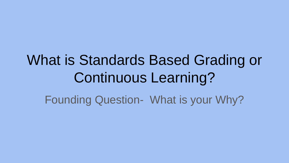## What is Standards Based Grading or Continuous Learning? Founding Question- What is your Why?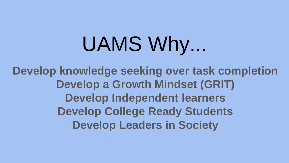# UAMS Why...

**Develop knowledge seeking over task completion Develop a Growth Mindset (GRIT) Develop Independent learners Develop College Ready Students Develop Leaders in Society**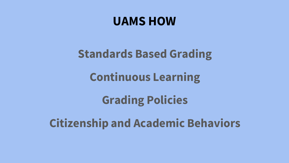#### **UAMS HOW**

#### **Standards Based Grading**

#### **Continuous Learning**

#### **Grading Policies**

#### **Citizenship and Academic Behaviors**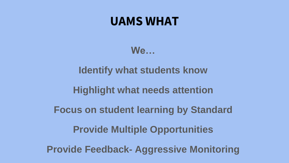#### **UAMS WHAT**

**We…**

**Identify what students know**

**Highlight what needs attention**

**Focus on student learning by Standard**

**Provide Multiple Opportunities**

**Provide Feedback- Aggressive Monitoring**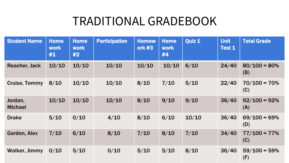#### TRADITIONAL GRADEBOOK

| <b>Student Name</b>       | <b>Home</b><br><b>work</b><br>#1 | <b>Home</b><br><b>work</b><br>#2 | <b>Participation</b> | <b>Homew</b><br>ork #3 | <b>Home</b><br><b>work</b><br>#4 | Quiz 1 | <b>Unit</b><br>Test 1 | <b>Total Grade</b>     |
|---------------------------|----------------------------------|----------------------------------|----------------------|------------------------|----------------------------------|--------|-----------------------|------------------------|
| Reacher, Jack             | 10/10                            | 10/10                            | 10/10                | 10/10                  | 10/10                            | 6/10   | 24/40                 | $80/100 = 80%$<br>(B)  |
| <b>Cruise, Tommy</b>      | 8/10                             | 10/10                            | 10/10                | 8/10                   | 7/10                             | $5/10$ | 22/40                 | $70/100 = 70%$<br>(C)  |
| Jordan,<br><b>Michael</b> | 10/10                            | 10/10                            | 10/10                | 8/10                   | 9/10                             | 9/10   | 36/40                 | $92/100 = 92%$<br>(A)  |
| <b>Drake</b>              | $5/10$                           | 0/10                             | 4/10                 | 8/10                   | 6/10                             | 10/10  | 36/40                 | $69/100 = 69\%$<br>(D) |
| Gordon, Alex              | 7/10                             | 6/10                             | 8/10                 | 7/10                   | 8/10                             | 7/10   | 34/40                 | $77/100 = 77\%$<br>(C) |
| <b>Walker, Jimmy</b>      | 0/10                             | 5/10                             | 0/10                 | $5/10$                 | $5/10$                           | 8/10   | 36/40                 | $59/100 = 59\%$<br>(F) |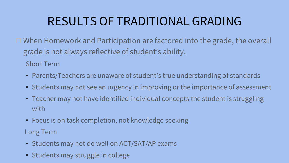#### RESULTS OF TRADITIONAL GRADING

 $\Box$  When Homework and Participation are factored into the grade, the overall grade is not always reflective of student's ability.

Short Term

- Parents/Teachers are unaware of student's true understanding of standards
- Students may not see an urgency in improving or the importance of assessment
- Teacher may not have identified individual concepts the student is struggling with
- Focus is on task completion, not knowledge seeking

Long Term

- Students may not do well on ACT/SAT/AP exams
- Students may struggle in college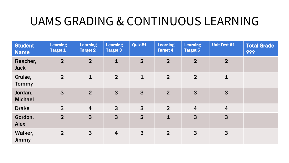#### UAMS GRADING & CONTINUOUS LEARNING

| <b>Student</b><br><b>Name</b> | <b>Learning</b><br><b>Target 1</b> | <b>Learning</b><br><b>Target 2</b> | <b>Learning</b><br><b>Target 3</b> | Quiz #1        | <b>Learning</b><br><b>Target 4</b> | <b>Learning</b><br><b>Target 5</b> | Unit Test #1   | <b>Total Grade</b><br>? |
|-------------------------------|------------------------------------|------------------------------------|------------------------------------|----------------|------------------------------------|------------------------------------|----------------|-------------------------|
| Reacher,<br><b>Jack</b>       | $\overline{2}$                     | $\overline{2}$                     | $\mathbf{1}$                       | $\overline{2}$ | 2 <sup>1</sup>                     | $\overline{2}$                     | $\overline{2}$ |                         |
| Cruise,<br><b>Tommy</b>       | 2 <sup>1</sup>                     | $\mathbf{1}$                       | $\overline{2}$                     | $\mathbf{1}$   | $\overline{2}$                     | $\overline{2}$                     | $\mathbf{1}$   |                         |
| Jordan,<br><b>Michael</b>     | 3                                  | $\overline{2}$                     | $\mathbf{3}$                       | 3              | $\overline{2}$                     | 3                                  | 3              |                         |
| <b>Drake</b>                  | 3                                  | $\overline{4}$                     | 3                                  | 3              | $\overline{2}$                     | $\overline{4}$                     | $\overline{4}$ |                         |
| Gordon,<br><b>Alex</b>        | $\overline{2}$                     | 3                                  | $\overline{3}$                     | $\overline{2}$ | $\mathbf{1}$                       | 3                                  | 3              |                         |
| Walker,<br>Jimmy              | 2 <sup>2</sup>                     | 3                                  | $\overline{\mathbf{4}}$            | 3              | $\overline{2}$                     | $\mathbf{3}$                       | 3              |                         |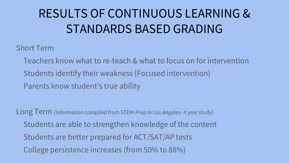### RESULTS OF CONTINUOUS LEARNING & STANDARDS BASED GRADING

Short Term

 $\Box$  Teachers know what to re-teach & what to focus on for intervention

 $\square$  Students identify their weakness (Focused intervention)

■ Parents know student's true ability

Long Term (Information compiled from STEM-Prep in Los Angeles-4 year study)  $\Box$  Students are able to strengthen knowledge of the content  $\square$  Students are better prepared for ACT/SAT/AP tests □ College persistence increases (from 50% to 88%)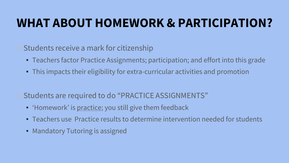#### **WHAT ABOUT HOMEWORK & PARTICIPATION?**

 $\square$  Students receive a mark for citizenship

- Teachers factor Practice Assignments; participation; and effort into this grade
- This impacts their eligibility for extra-curricular activities and promotion
- □ Students are required to do "PRACTICE ASSIGNMENTS"
	- 'Homework' is <u>practice</u>; you still give them feedback
	- Teachers use Practice results to determine intervention needed for students
	- Mandatory Tutoring is assigned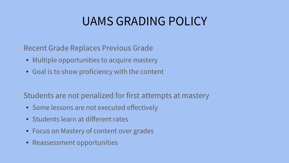#### UAMS GRADING POLICY

**□ Recent Grade Replaces Previous Grade** 

- Multiple opportunities to acquire mastery
- Goal is to show proficiency with the content

 $\square$  Students are not penalized for first attempts at mastery

- Some lessons are not executed effectively
- Students learn at different rates
- Focus on Mastery of content over grades
- Reassessment opportunities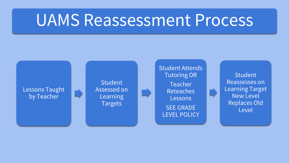## UAMS Reassessment Process

Lessons Taught by Teacher

**Student** Assessed on **Learning Targets** 

Student Attends Tutoring OR

Teacher Reteaches **Lessons** SEE GRADE LEVEL POLICY

**Student** Reassesses on Learning Target New Level Replaces Old Level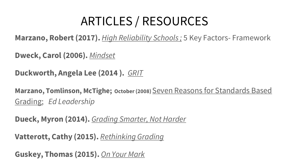### ARTICLES / RESOURCES

**Marzano, Robert (2017).** *High Reliability Schools ;* 5 Key Factors- Framework

**Dweck, Carol (2006).** *Mindset*

**Duckworth, Angela Lee (2014 ).** *GRIT*

**Marzano, Tomlinson, McTighe; October (2008)** Seven Reasons for Standards Based Grading; *Ed Leadership*

**Dueck, Myron (2014).** *Grading Smarter, Not Harder* 

**Vatterott, Cathy (2015).** *Rethinking Grading*

**Guskey, Thomas (2015).** *On Your Mark*